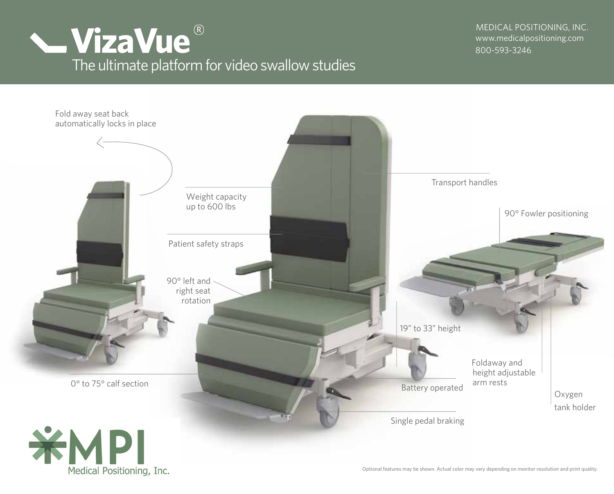

800-593-3246 MEDICAL POSITIONING, INC.